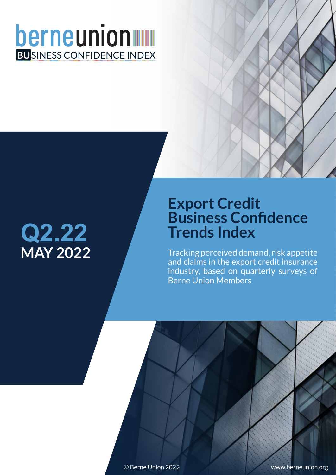## berneunion **BU**SINESS CONFIDENCE INDEX

# **MAY 2022 Q2.22**

### **Export Credit Business Confidence Trends Index**

Berne Union Members Tracking perceived demand, risk appetite and claims in the export credit insurance industry, based on quarterly surveys of

© Berne Union 2022 www.berneunion.org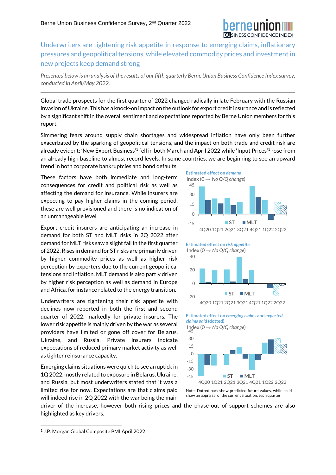Underwriters are tightening risk appetite in response to emerging claims, inflationary pressures and geopolitical tensions, while elevated commodity prices and investment in new projects keep demand strong

*Presented below is an analysis of the results of our fifth quarterly Berne Union Business Confidence Index survey, conducted in April/May 2022.*

Global trade prospects for the first quarter of 2022 changed radically in late February with the Russian invasion of Ukraine. This has a knock-on impact on the outlook for export creditinsurance and is reflected by a significant shift in the overall sentiment and expectations reported by Berne Union members for this report.

Simmering fears around supply chain shortages and widespread inflation have only been further exacerbated by the sparking of geopolitical tensions, and the impact on both trade and credit risk are already evident: 'New Export Business'<sup>1</sup> fell in both March and April 2022 while 'Input Prices'<sup>1</sup> rose from an already high baseline to almost record levels. In some countries, we are beginning to see an upward trend in both corporate bankruptcies and bond defaults.

These factors have both immediate and long-term consequences for credit and political risk as well as affecting the demand for insurance. While insurers are expecting to pay higher claims in the coming period, these are well provisioned and there is no indication of an unmanageable level.

Export credit insurers are anticipating an increase in demand for both ST and MLT risks in 2Q 2022 after demand for MLT risks saw a slight fall in the first quarter of 2022. Rises in demand for ST risks are primarily driven by higher commodity prices as well as higher risk perception by exporters due to the current geopolitical tensions and inflation. MLT demand is also partly driven by higher risk perception as well as demand in Europe and Africa, for instance related to the energy transition.

Underwriters are tightening their risk appetite with declines now reported in both the first and second quarter of 2022, markedly for private insurers. The lower risk appetite is mainly driven by the war as several providers have limited or gone off cover for Belarus, Ukraine, and Russia. Private insurers indicate expectations of reduced primary market activity as well as tighter reinsurance capacity.

Emerging claims situations were quick to see an uptick in 1Q 2022, mostly related to exposure in Belarus, Ukraine, and Russia, but most underwriters stated that it was a limited rise for now. Expectations are that claims paid will indeed rise in 2Q 2022 with the war being the main



Note: Dotted bars show predicted future values, while solid 4Q20 1Q21 2Q21 3Q21 4Q21 1Q22 2Q22 **ST MLT**

show an appraisal of the current situation, each quarter

driver of the increase, however both rising prices and the phase-out of support schemes are also highlighted as key drivers.

-45

<sup>1</sup> J.P. Morgan Global Composite PMI April 2022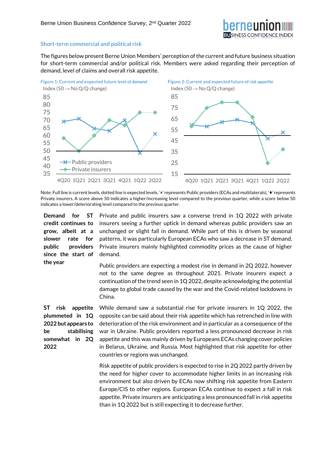

#### **Short-term commercial and political risk**

The figures below present Berne Union Members' perception of the current and future business situation for short-term commercial and/or political risk. Members were asked regarding their perception of demand, level of claims and overall risk appetite.



Note: Full line is current levels, dotted line is expected levels. '**×**' represents Public providers (ECAs and multilaterals), '♦' represents Private insurers. A score above 50 indicates a higher/increasing level compared to the previous quarter, while a score below 50 indicates a lower/deteriorating level compared to the previous quarter.

**Demand for ST credit continues to grow, albeit at a slower rate for public providers since the start of the year**

Private and public insurers saw a converse trend in 1Q 2022 with private insurers seeing a further uptick in demand whereas public providers saw an unchanged or slight fall in demand. While part of this is driven by seasonal patterns, it was particularly European ECAs who saw a decrease in ST demand. Private insurers mainly highlighted commodity prices as the cause of higher demand.

Public providers are expecting a modest rise in demand in 2Q 2022, however not to the same degree as throughout 2021. Private insurers expect a continuation of the trend seen in 1Q 2022, despite acknowledging the potential damage to global trade caused by the war and the Covid-related lockdowns in China.

**ST risk appetite plummeted in 1Q 2022 but appears to be stabilising somewhat in 2Q 2022**

While demand saw a substantial rise for private insurers in 1Q 2022, the opposite can be said about their risk appetite which has retrenched in line with deterioration of the risk environment and in particular as a consequence of the war in Ukraine. Public providers reported a less pronounced decrease in risk appetite and this was mainly driven by Europeans ECAs changing cover policies in Belarus, Ukraine, and Russia. Most highlighted that risk appetite for other countries or regions was unchanged.

Risk appetite of public providers is expected to rise in 2Q 2022 partly driven by the need for higher cover to accommodate higher limits in an increasing risk environment but also driven by ECAs now shifting risk appetite from Eastern Europe/CIS to other regions. European ECAs continue to expect a fall in risk appetite. Private insurers are anticipating a less pronounced fall in risk appetite than in 1Q 2022 but is still expecting it to decrease further.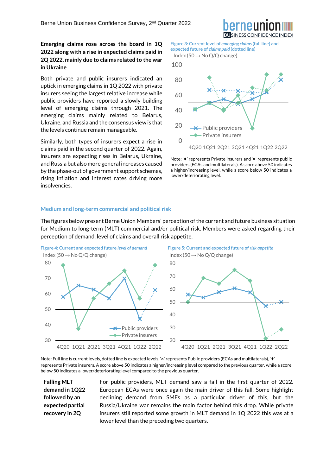**Emerging claims rose across the board in 1Q 2022 along with a rise in expected claims paid in 2Q 2022, mainly due to claims related to the war in Ukraine**

Both private and public insurers indicated an uptick in emerging claims in 1Q 2022 with private insurers seeing the largest relative increase while public providers have reported a slowly building level of emerging claims through 2021. The emerging claims mainly related to Belarus, Ukraine, and Russia and the consensus view is that the levels continue remain manageable.

Similarly, both types of insurers expect a rise in claims paid in the second quarter of 2022. Again, insurers are expecting rises in Belarus, Ukraine, and Russia but also more general increases caused by the phase-out of government support schemes, rising inflation and interest rates driving more insolvencies.

**Figure 3: Current level of** *emerging claims***(full line) and expected future of** *claims paid* **(dotted line)** Index (50  $\rightarrow$  No Q/Q change)

![](_page_3_Figure_5.jpeg)

![](_page_3_Figure_6.jpeg)

Note: '♦' represents Private insurers and '**×**' represents public providers (ECAs and multilaterals). A score above 50 indicates a higher/increasing level, while a score below 50 indicates a lower/deteriorating level.

#### **Medium and long-term commercial and political risk**

The figures below present Berne Union Members' perception of the current and future business situation for Medium to long-term (MLT) commercial and/or political risk. Members were asked regarding their perception of demand, level of claims and overall risk appetite.

![](_page_3_Figure_10.jpeg)

Note: Full line is current levels, dotted line is expected levels. '**×**' represents Public providers (ECAs and multilaterals), '♦' represents Private insurers. A score above 50 indicates a higher/increasing level compared to the previous quarter, while a score below 50 indicates a lower/deteriorating level compared to the previous quarter.

**Falling MLT demand in 1Q22 followed by an expected partial recovery in 2Q** 

For public providers, MLT demand saw a fall in the first quarter of 2022. European ECAs were once again the main driver of this fall. Some highlight declining demand from SMEs as a particular driver of this, but the Russia/Ukraine war remains the main factor behind this drop. While private insurers still reported some growth in MLT demand in 1Q 2022 this was at a lower level than the preceding two quarters.

![](_page_3_Picture_14.jpeg)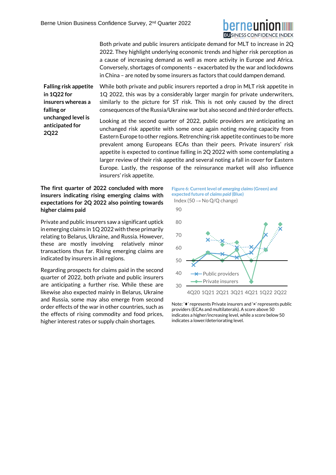![](_page_4_Picture_1.jpeg)

Both private and public insurers anticipate demand for MLT to increase in 2Q 2022. They highlight underlying economic trends and higher risk perception as a cause of increasing demand as well as more activity in Europe and Africa. Conversely, shortages of components – exacerbated by the war and lockdowns in China – are noted by some insurers as factors that could dampen demand.

**Falling risk appetite in 1Q22 for insurers whereas a falling or unchanged level is anticipated for 2Q22** 

While both private and public insurers reported a drop in MLT risk appetite in 1Q 2022, this was by a considerably larger margin for private underwriters, similarly to the picture for ST risk. This is not only caused by the direct consequences of the Russia/Ukraine war but also second and third order effects.

Looking at the second quarter of 2022, public providers are anticipating an unchanged risk appetite with some once again noting moving capacity from Eastern Europe to other regions. Retrenching risk appetite continues to be more prevalent among Europeans ECAs than their peers. Private insurers' risk appetite is expected to continue falling in 2Q 2022 with some contemplating a larger review of their risk appetite and several noting a fall in cover for Eastern Europe. Lastly, the response of the reinsurance market will also influence insurers' risk appetite.

**The first quarter of 2022 concluded with more insurers indicating rising emerging claims with expectations for 2Q 2022 also pointing towards higher claims paid**

Private and public insurers saw a significant uptick in emerging claims in 1Q 2022 with these primarily relating to Belarus, Ukraine, and Russia. However, these are mostly involving relatively minor transactions thus far. Rising emerging claims are indicated by insurers in all regions.

Regarding prospects for claims paid in the second quarter of 2022, both private and public insurers are anticipating a further rise. While these are likewise also expected mainly in Belarus, Ukraine and Russia, some may also emerge from second order effects of the war in other countries, such as the effects of rising commodity and food prices, higher interest rates or supply chain shortages.

**Figure 6: Current level of** *emerging claims***(Green) and expected future of** *claims paid* **(Blue)** Index (50  $\rightarrow$  No Q/Q change)

![](_page_4_Figure_10.jpeg)

Note: '♦' represents Private insurers and '**×**' represents public providers (ECAs and multilaterals). A score above 50 indicates a higher/increasing level, while a score below 50 indicates a lower/deteriorating level.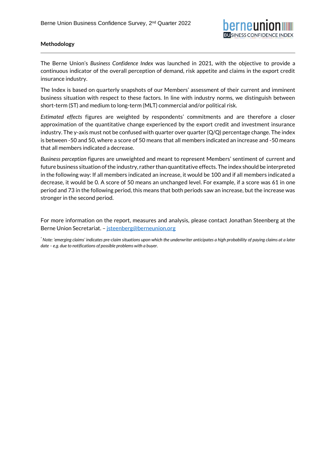### **Methodology**

The Berne Union's *Business Confidence Index* was launched in 2021, with the objective to provide a continuous indicator of the overall perception of demand, risk appetite and claims in the export credit insurance industry.

The Index is based on quarterly snapshots of our Members' assessment of their current and imminent business situation with respect to these factors. In line with industry norms, we distinguish between short-term (ST) and medium to long-term (MLT) commercial and/or political risk.

*Estimated effects* figures are weighted by respondents' commitments and are therefore a closer approximation of the quantitative change experienced by the export credit and investment insurance industry. The y-axis must not be confused with quarter over quarter (Q/Q) percentage change. The index is between -50 and 50, where a score of 50 means that all members indicated an increase and -50 means that all members indicated a decrease.

*Business perception* figures are unweighted and meant to represent Members' sentiment of current and future business situation of the industry, rather than quantitative effects. The index should be interpreted in the following way: If all members indicated an increase, it would be 100 and if all members indicated a decrease, it would be 0. A score of 50 means an unchanged level. For example, if a score was 61 in one period and 73 in the following period, this means that both periods saw an increase, but the increase was stronger in the second period.

For more information on the report, measures and analysis, please contact Jonathan Steenberg at the Berne Union Secretariat. – [jsteenberg@berneunion.org](mailto:jsteenberg@berneunion.org)

*\* Note: 'emerging claims' indicates pre-claim situations upon which the underwriter anticipates a high probability of paying claims at a later date – e.g. due to notifications of possible problems with a buyer.*